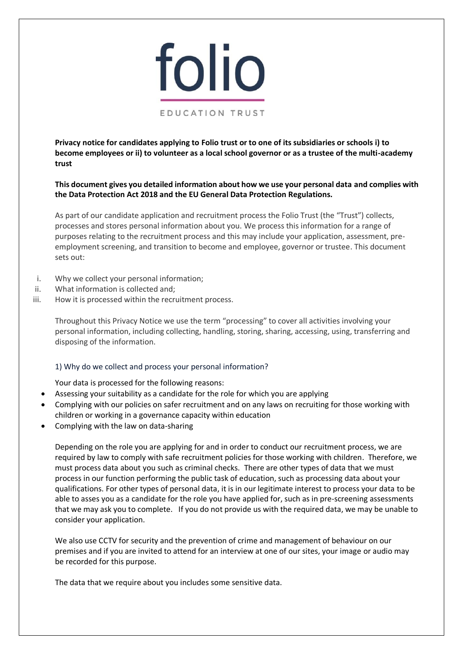

**Privacy notice for candidates applying to Folio trust or to one of its subsidiaries or schools i) to become employees or ii) to volunteer as a local school governor or as a trustee of the multi-academy trust**

**This document gives you detailed information about how we use your personal data and complies with the Data Protection Act 2018 and the EU General Data Protection Regulations.** 

As part of our candidate application and recruitment process the Folio Trust (the "Trust") collects, processes and stores personal information about you. We process this information for a range of purposes relating to the recruitment process and this may include your application, assessment, preemployment screening, and transition to become and employee, governor or trustee. This document sets out:

- i. Why we collect your personal information;
- ii. What information is collected and;
- iii. How it is processed within the recruitment process.

Throughout this Privacy Notice we use the term "processing" to cover all activities involving your personal information, including collecting, handling, storing, sharing, accessing, using, transferring and disposing of the information.

#### 1) Why do we collect and process your personal information?

Your data is processed for the following reasons:

- Assessing your suitability as a candidate for the role for which you are applying
- Complying with our policies on safer recruitment and on any laws on recruiting for those working with children or working in a governance capacity within education
- Complying with the law on data-sharing

Depending on the role you are applying for and in order to conduct our recruitment process, we are required by law to comply with safe recruitment policies for those working with children. Therefore, we must process data about you such as criminal checks. There are other types of data that we must process in our function performing the public task of education, such as processing data about your qualifications. For other types of personal data, it is in our legitimate interest to process your data to be able to asses you as a candidate for the role you have applied for, such as in pre-screening assessments that we may ask you to complete. If you do not provide us with the required data, we may be unable to consider your application.

We also use CCTV for security and the prevention of crime and management of behaviour on our premises and if you are invited to attend for an interview at one of our sites, your image or audio may be recorded for this purpose.

The data that we require about you includes some sensitive data.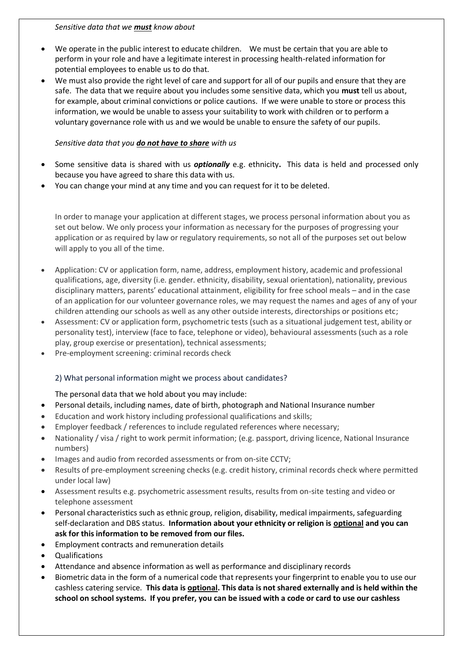*Sensitive data that we must know about*

- We operate in the public interest to educate children. We must be certain that you are able to perform in your role and have a legitimate interest in processing health-related information for potential employees to enable us to do that.
- We must also provide the right level of care and support for all of our pupils and ensure that they are safe. The data that we require about you includes some sensitive data, which you **must** tell us about, for example, about criminal convictions or police cautions. If we were unable to store or process this information, we would be unable to assess your suitability to work with children or to perform a voluntary governance role with us and we would be unable to ensure the safety of our pupils.

# *Sensitive data that you do not have to share with us*

- Some sensitive data is shared with us *optionally* e.g. ethnicity**.** This data is held and processed only because you have agreed to share this data with us.
- You can change your mind at any time and you can request for it to be deleted.

In order to manage your application at different stages, we process personal information about you as set out below. We only process your information as necessary for the purposes of progressing your application or as required by law or regulatory requirements, so not all of the purposes set out below will apply to you all of the time.

- Application: CV or application form, name, address, employment history, academic and professional qualifications, age, diversity (i.e. gender. ethnicity, disability, sexual orientation), nationality, previous disciplinary matters, parents' educational attainment, eligibility for free school meals – and in the case of an application for our volunteer governance roles, we may request the names and ages of any of your children attending our schools as well as any other outside interests, directorships or positions etc;
- Assessment: CV or application form, psychometric tests (such as a situational judgement test, ability or personality test), interview (face to face, telephone or video), behavioural assessments (such as a role play, group exercise or presentation), technical assessments;
- Pre-employment screening: criminal records check

# 2) What personal information might we process about candidates?

# The personal data that we hold about you may include:

- Personal details, including names, date of birth, photograph and National Insurance number
- Education and work history including professional qualifications and skills;
- Employer feedback / references to include regulated references where necessary;
- Nationality / visa / right to work permit information; (e.g. passport, driving licence, National Insurance numbers)
- Images and audio from recorded assessments or from on-site CCTV;
- Results of pre-employment screening checks (e.g. credit history, criminal records check where permitted under local law)
- Assessment results e.g. psychometric assessment results, results from on-site testing and video or telephone assessment
- Personal characteristics such as ethnic group, religion, disability, medical impairments, safeguarding self-declaration and DBS status. **Information about your ethnicity or religion is optional and you can ask for this information to be removed from our files.**
- Employment contracts and remuneration details
- Qualifications
- Attendance and absence information as well as performance and disciplinary records
- Biometric data in the form of a numerical code that represents your fingerprint to enable you to use our cashless catering service. **This data is optional. This data is not shared externally and is held within the school on school systems. If you prefer, you can be issued with a code or card to use our cashless**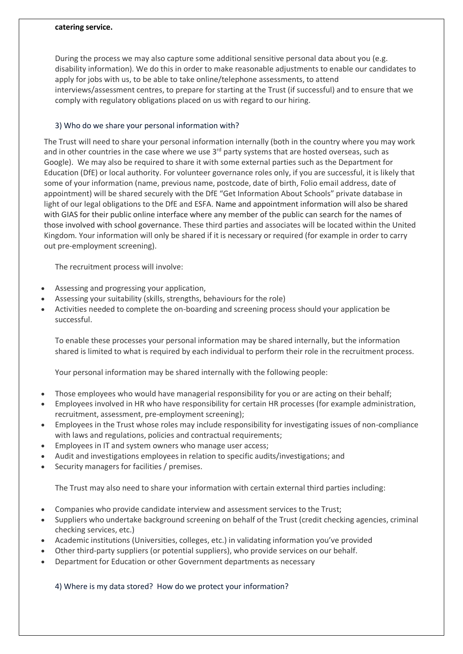#### **catering service.**

During the process we may also capture some additional sensitive personal data about you (e.g. disability information). We do this in order to make reasonable adjustments to enable our candidates to apply for jobs with us, to be able to take online/telephone assessments, to attend interviews/assessment centres, to prepare for starting at the Trust (if successful) and to ensure that we comply with regulatory obligations placed on us with regard to our hiring.

### 3) Who do we share your personal information with?

The Trust will need to share your personal information internally (both in the country where you may work and in other countries in the case where we use  $3<sup>rd</sup>$  party systems that are hosted overseas, such as Google). We may also be required to share it with some external parties such as the Department for Education (DfE) or local authority. For volunteer governance roles only, if you are successful, it is likely that some of your information (name, previous name, postcode, date of birth, Folio email address, date of appointment) will be shared securely with the DfE "Get Information About Schools" private database in light of our legal obligations to the DfE and ESFA. Name and appointment information will also be shared with GIAS for their public online interface where any member of the public can search for the names of those involved with school governance. These third parties and associates will be located within the United Kingdom. Your information will only be shared if it is necessary or required (for example in order to carry out pre-employment screening).

The recruitment process will involve:

- Assessing and progressing your application,
- Assessing your suitability (skills, strengths, behaviours for the role)
- Activities needed to complete the on-boarding and screening process should your application be successful.

To enable these processes your personal information may be shared internally, but the information shared is limited to what is required by each individual to perform their role in the recruitment process.

Your personal information may be shared internally with the following people:

- Those employees who would have managerial responsibility for you or are acting on their behalf;
- Employees involved in HR who have responsibility for certain HR processes (for example administration, recruitment, assessment, pre-employment screening);
- Employees in the Trust whose roles may include responsibility for investigating issues of non-compliance with laws and regulations, policies and contractual requirements;
- Employees in IT and system owners who manage user access;
- Audit and investigations employees in relation to specific audits/investigations; and
- Security managers for facilities / premises.

The Trust may also need to share your information with certain external third parties including:

- Companies who provide candidate interview and assessment services to the Trust;
- Suppliers who undertake background screening on behalf of the Trust (credit checking agencies, criminal checking services, etc.)
- Academic institutions (Universities, colleges, etc.) in validating information you've provided
- Other third-party suppliers (or potential suppliers), who provide services on our behalf.
- Department for Education or other Government departments as necessary

4) Where is my data stored? How do we protect your information?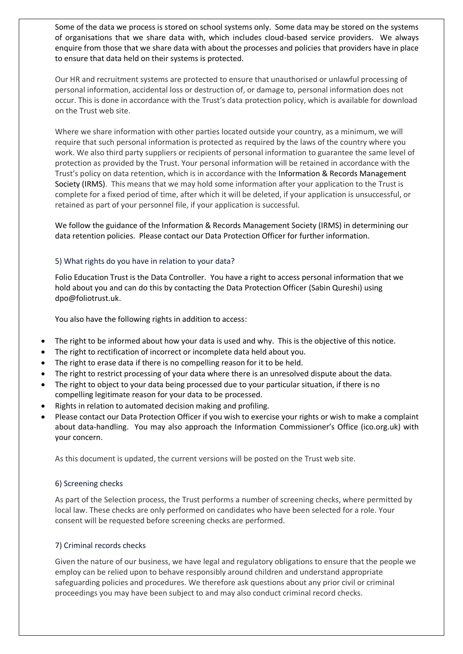Some of the data we process is stored on school systems only. Some data may be stored on the systems of organisations that we share data with, which includes cloud-based service providers. We always enquire from those that we share data with about the processes and policies that providers have in place to ensure that data held on their systems is protected.

Our HR and recruitment systems are protected to ensure that unauthorised or unlawful processing of personal information, accidental loss or destruction of, or damage to, personal information does not occur. This is done in accordance with the Trust's data protection policy, which is available for download on the Trust web site.

Where we share information with other parties located outside your country, as a minimum, we will require that such personal information is protected as required by the laws of the country where you work. We also third party suppliers or recipients of personal information to guarantee the same level of protection as provided by the Trust. Your personal information will be retained in accordance with the Trust's policy on data retention, which is in accordance with the Information & Records Management Society (IRMS). This means that we may hold some information after your application to the Trust is complete for a fixed period of time, after which it will be deleted, if your application is unsuccessful, or retained as part of your personnel file, if your application is successful.

We follow the guidance of the Information & Records Management Society (IRMS) in determining our data retention policies. Please contact our Data Protection Officer for further information.

### 5) What rights do you have in relation to your data?

Folio Education Trust is the Data Controller. You have a right to access personal information that we hold about you and can do this by contacting the Data Protection Officer (Sabin Qureshi) using dpo@foliotrust.uk.

You also have the following rights in addition to access:

- The right to be informed about how your data is used and why. This is the objective of this notice.
- The right to rectification of incorrect or incomplete data held about you.
- The right to erase data if there is no compelling reason for it to be held.
- The right to restrict processing of your data where there is an unresolved dispute about the data.
- The right to object to your data being processed due to your particular situation, if there is no compelling legitimate reason for your data to be processed.
- Rights in relation to automated decision making and profiling.
- Please contact our Data Protection Officer if you wish to exercise your rights or wish to make a complaint about data-handling. You may also approach the Information Commissioner's Office (ico.org.uk) with your concern.

As this document is updated, the current versions will be posted on the Trust web site.

#### 6) Screening checks

As part of the Selection process, the Trust performs a number of screening checks, where permitted by local law. These checks are only performed on candidates who have been selected for a role. Your consent will be requested before screening checks are performed.

#### 7) Criminal records checks

Given the nature of our business, we have legal and regulatory obligations to ensure that the people we employ can be relied upon to behave responsibly around children and understand appropriate safeguarding policies and procedures. We therefore ask questions about any prior civil or criminal proceedings you may have been subject to and may also conduct criminal record checks.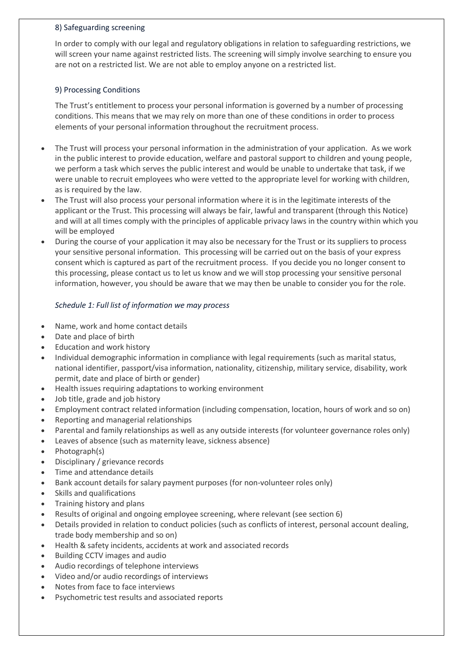### 8) Safeguarding screening

In order to comply with our legal and regulatory obligations in relation to safeguarding restrictions, we will screen your name against restricted lists. The screening will simply involve searching to ensure you are not on a restricted list. We are not able to employ anyone on a restricted list.

## 9) Processing Conditions

The Trust's entitlement to process your personal information is governed by a number of processing conditions. This means that we may rely on more than one of these conditions in order to process elements of your personal information throughout the recruitment process.

- The Trust will process your personal information in the administration of your application. As we work in the public interest to provide education, welfare and pastoral support to children and young people, we perform a task which serves the public interest and would be unable to undertake that task, if we were unable to recruit employees who were vetted to the appropriate level for working with children, as is required by the law.
- The Trust will also process your personal information where it is in the legitimate interests of the applicant or the Trust. This processing will always be fair, lawful and transparent (through this Notice) and will at all times comply with the principles of applicable privacy laws in the country within which you will be employed
- During the course of your application it may also be necessary for the Trust or its suppliers to process your sensitive personal information. This processing will be carried out on the basis of your express consent which is captured as part of the recruitment process. If you decide you no longer consent to this processing, please contact us to let us know and we will stop processing your sensitive personal information, however, you should be aware that we may then be unable to consider you for the role.

## *Schedule 1: Full list of information we may process*

- Name, work and home contact details
- Date and place of birth
- Education and work history
- Individual demographic information in compliance with legal requirements (such as marital status, national identifier, passport/visa information, nationality, citizenship, military service, disability, work permit, date and place of birth or gender)
- Health issues requiring adaptations to working environment
- Job title, grade and job history
- Employment contract related information (including compensation, location, hours of work and so on)
- Reporting and managerial relationships
- Parental and family relationships as well as any outside interests (for volunteer governance roles only)
- Leaves of absence (such as maternity leave, sickness absence)
- Photograph(s)
- Disciplinary / grievance records
- Time and attendance details
- Bank account details for salary payment purposes (for non-volunteer roles only)
- Skills and qualifications
- Training history and plans
- Results of original and ongoing employee screening, where relevant (see section 6)
- Details provided in relation to conduct policies (such as conflicts of interest, personal account dealing, trade body membership and so on)
- Health & safety incidents, accidents at work and associated records
- Building CCTV images and audio
- Audio recordings of telephone interviews
- Video and/or audio recordings of interviews
- Notes from face to face interviews
- Psychometric test results and associated reports